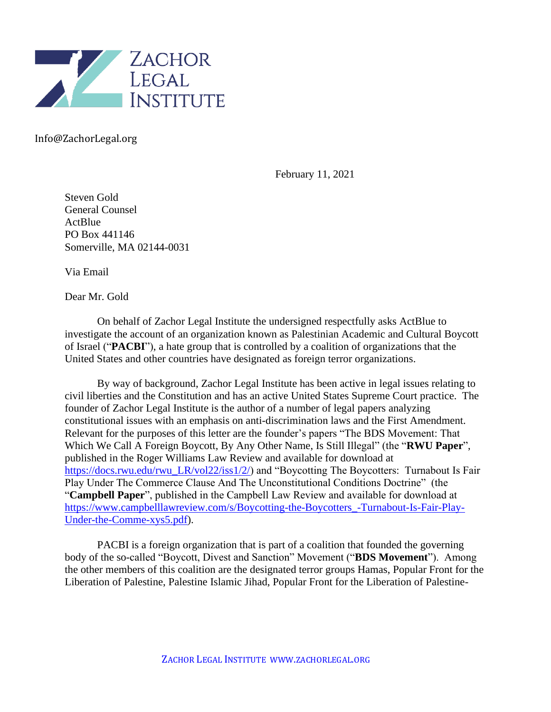

Info@ZachorLegal.org

February 11, 2021

Steven Gold General Counsel **ActBlue** PO Box 441146 Somerville, MA 02144-0031

Via Email

Dear Mr. Gold

On behalf of Zachor Legal Institute the undersigned respectfully asks ActBlue to investigate the account of an organization known as Palestinian Academic and Cultural Boycott of Israel ("**PACBI**"), a hate group that is controlled by a coalition of organizations that the United States and other countries have designated as foreign terror organizations.

By way of background, Zachor Legal Institute has been active in legal issues relating to civil liberties and the Constitution and has an active United States Supreme Court practice. The founder of Zachor Legal Institute is the author of a number of legal papers analyzing constitutional issues with an emphasis on anti-discrimination laws and the First Amendment. Relevant for the purposes of this letter are the founder's papers "The BDS Movement: That Which We Call A Foreign Boycott, By Any Other Name, Is Still Illegal" (the "**RWU Paper**", published in the Roger Williams Law Review and available for download at [https://docs.rwu.edu/rwu\\_LR/vol22/iss1/2/\)](https://docs.rwu.edu/rwu_LR/vol22/iss1/2/) and "Boycotting The Boycotters: Turnabout Is Fair Play Under The Commerce Clause And The Unconstitutional Conditions Doctrine" (the "**Campbell Paper**", published in the Campbell Law Review and available for download at [https://www.campbelllawreview.com/s/Boycotting-the-Boycotters\\_-Turnabout-Is-Fair-Play-](https://www.campbelllawreview.com/s/Boycotting-the-Boycotters_-Turnabout-Is-Fair-Play-Under-the-Comme-xys5.pdf)[Under-the-Comme-xys5.pdf\)](https://www.campbelllawreview.com/s/Boycotting-the-Boycotters_-Turnabout-Is-Fair-Play-Under-the-Comme-xys5.pdf).

PACBI is a foreign organization that is part of a coalition that founded the governing body of the so-called "Boycott, Divest and Sanction" Movement ("**BDS Movement**"). Among the other members of this coalition are the designated terror groups Hamas, Popular Front for the Liberation of Palestine, Palestine Islamic Jihad, Popular Front for the Liberation of Palestine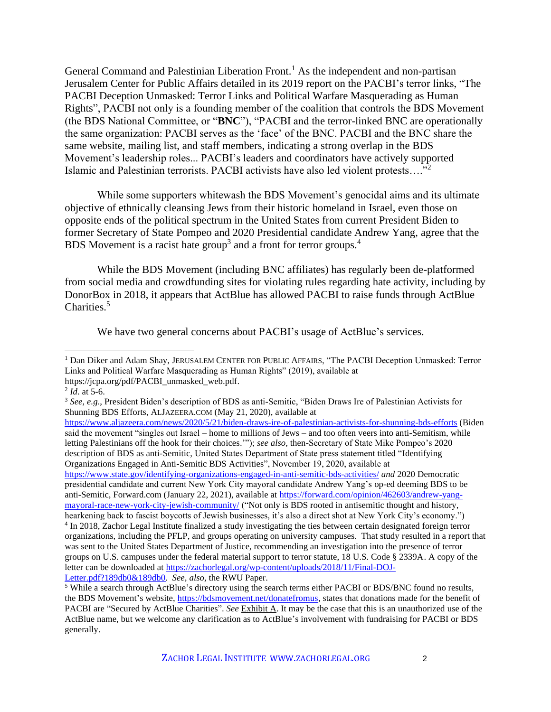General Command and Palestinian Liberation Front.<sup>1</sup> As the independent and non-partisan Jerusalem Center for Public Affairs detailed in its 2019 report on the PACBI's terror links, "The PACBI Deception Unmasked: Terror Links and Political Warfare Masquerading as Human Rights", PACBI not only is a founding member of the coalition that controls the BDS Movement (the BDS National Committee, or "**BNC**"), "PACBI and the terror-linked BNC are operationally the same organization: PACBI serves as the 'face' of the BNC. PACBI and the BNC share the same website, mailing list, and staff members, indicating a strong overlap in the BDS Movement's leadership roles... PACBI's leaders and coordinators have actively supported Islamic and Palestinian terrorists. PACBI activists have also led violent protests…."<sup>2</sup>

While some supporters whitewash the BDS Movement's genocidal aims and its ultimate objective of ethnically cleansing Jews from their historic homeland in Israel, even those on opposite ends of the political spectrum in the United States from current President Biden to former Secretary of State Pompeo and 2020 Presidential candidate Andrew Yang, agree that the BDS Movement is a racist hate group<sup>3</sup> and a front for terror groups.<sup>4</sup>

While the BDS Movement (including BNC affiliates) has regularly been de-platformed from social media and crowdfunding sites for violating rules regarding hate activity, including by DonorBox in 2018, it appears that ActBlue has allowed PACBI to raise funds through ActBlue Charities.<sup>5</sup>

We have two general concerns about PACBI's usage of ActBlue's services.

<https://www.aljazeera.com/news/2020/5/21/biden-draws-ire-of-palestinian-activists-for-shunning-bds-efforts> (Biden said the movement "singles out Israel – home to millions of Jews – and too often veers into anti-Semitism, while letting Palestinians off the hook for their choices.'"); *see also*, then-Secretary of State Mike Pompeo's 2020 description of BDS as anti-Semitic, United States Department of State press statement titled "Identifying Organizations Engaged in Anti-Semitic BDS Activities", November 19, 2020, available at <https://www.state.gov/identifying-organizations-engaged-in-anti-semitic-bds-activities/> *and* 2020 Democratic presidential candidate and current New York City mayoral candidate Andrew Yang's op-ed deeming BDS to be anti-Semitic, Forward.com (January 22, 2021), available at [https://forward.com/opinion/462603/andrew-yang](https://forward.com/opinion/462603/andrew-yang-mayoral-race-new-york-city-jewish-community/)[mayoral-race-new-york-city-jewish-community/](https://forward.com/opinion/462603/andrew-yang-mayoral-race-new-york-city-jewish-community/) ("Not only is BDS rooted in antisemitic thought and history, hearkening back to fascist boycotts of Jewish businesses, it's also a direct shot at New York City's economy.") <sup>4</sup> In 2018, Zachor Legal Institute finalized a study investigating the ties between certain designated foreign terror organizations, including the PFLP, and groups operating on university campuses. That study resulted in a report that was sent to the United States Department of Justice, recommending an investigation into the presence of terror groups on U.S. campuses under the federal material support to terror statute, 18 U.S. Code § 2339A. A copy of the letter can be downloaded at [https://zachorlegal.org/wp-content/uploads/2018/11/Final-DOJ-](https://zachorlegal.org/wp-content/uploads/2018/11/Final-DOJ-Letter.pdf?189db0&189db0)

[Letter.pdf?189db0&189db0.](https://zachorlegal.org/wp-content/uploads/2018/11/Final-DOJ-Letter.pdf?189db0&189db0) *See*, *also*, the RWU Paper.

<sup>&</sup>lt;sup>1</sup> Dan Diker and Adam Shay, JERUSALEM CENTER FOR PUBLIC AFFAIRS, "The PACBI Deception Unmasked: Terror Links and Political Warfare Masquerading as Human Rights" (2019), available at https://jcpa.org/pdf/PACBI\_unmasked\_web.pdf.

<sup>2</sup> *Id*. at 5-6.

<sup>3</sup> *See, e.g*., President Biden's description of BDS as anti-Semitic, "Biden Draws Ire of Palestinian Activists for Shunning BDS Efforts, ALJAZEERA.COM (May 21, 2020), available at

<sup>5</sup> While a search through ActBlue's directory using the search terms either PACBI or BDS/BNC found no results, the BDS Movement's website, [https://bdsmovement.net/donatefromus,](https://bdsmovement.net/donatefromus) states that donations made for the benefit of PACBI are "Secured by ActBlue Charities". *See* Exhibit A. It may be the case that this is an unauthorized use of the ActBlue name, but we welcome any clarification as to ActBlue's involvement with fundraising for PACBI or BDS generally.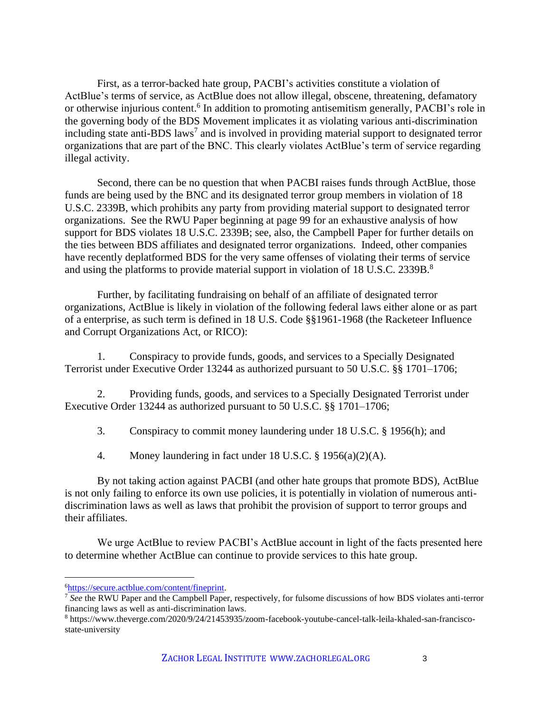First, as a terror-backed hate group, PACBI's activities constitute a violation of ActBlue's terms of service, as ActBlue does not allow illegal, obscene, threatening, defamatory or otherwise injurious content.<sup>6</sup> In addition to promoting antisemitism generally, PACBI's role in the governing body of the BDS Movement implicates it as violating various anti-discrimination including state anti-BDS laws<sup>7</sup> and is involved in providing material support to designated terror organizations that are part of the BNC. This clearly violates ActBlue's term of service regarding illegal activity.

Second, there can be no question that when PACBI raises funds through ActBlue, those funds are being used by the BNC and its designated terror group members in violation of 18 U.S.C. 2339B, which prohibits any party from providing material support to designated terror organizations. See the RWU Paper beginning at page 99 for an exhaustive analysis of how support for BDS violates 18 U.S.C. 2339B; see, also, the Campbell Paper for further details on the ties between BDS affiliates and designated terror organizations. Indeed, other companies have recently deplatformed BDS for the very same offenses of violating their terms of service and using the platforms to provide material support in violation of 18 U.S.C. 2339B.<sup>8</sup>

Further, by facilitating fundraising on behalf of an affiliate of designated terror organizations, ActBlue is likely in violation of the following federal laws either alone or as part of a enterprise, as such term is defined in 18 U.S. Code §§1961-1968 (the Racketeer Influence and Corrupt Organizations Act, or RICO):

1. Conspiracy to provide funds, goods, and services to a Specially Designated Terrorist under Executive Order 13244 as authorized pursuant to 50 U.S.C. §§ 1701–1706;

2. Providing funds, goods, and services to a Specially Designated Terrorist under Executive Order 13244 as authorized pursuant to 50 U.S.C. §§ 1701–1706;

3. Conspiracy to commit money laundering under 18 U.S.C. § 1956(h); and

4. Money laundering in fact under 18 U.S.C. § 1956(a)(2)(A).

By not taking action against PACBI (and other hate groups that promote BDS), ActBlue is not only failing to enforce its own use policies, it is potentially in violation of numerous antidiscrimination laws as well as laws that prohibit the provision of support to terror groups and their affiliates.

We urge ActBlue to review PACBI's ActBlue account in light of the facts presented here to determine whether ActBlue can continue to provide services to this hate group.

<sup>6</sup>[https://secure.actblue.com/content/fineprint.](https://secure.actblue.com/content/fineprint)

<sup>7</sup> *See* the RWU Paper and the Campbell Paper, respectively, for fulsome discussions of how BDS violates anti-terror financing laws as well as anti-discrimination laws.

<sup>8</sup> https://www.theverge.com/2020/9/24/21453935/zoom-facebook-youtube-cancel-talk-leila-khaled-san-franciscostate-university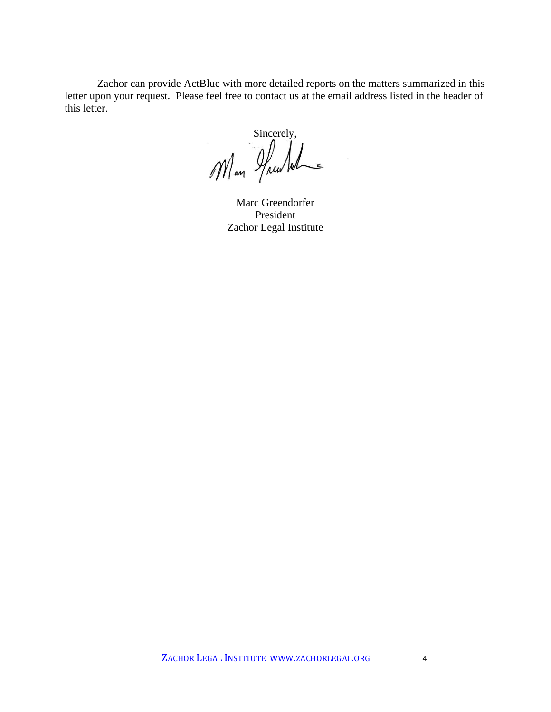Zachor can provide ActBlue with more detailed reports on the matters summarized in this letter upon your request. Please feel free to contact us at the email address listed in the header of this letter.

Sincerely,<br>Man Huwwh

Marc Greendorfer President Zachor Legal Institute